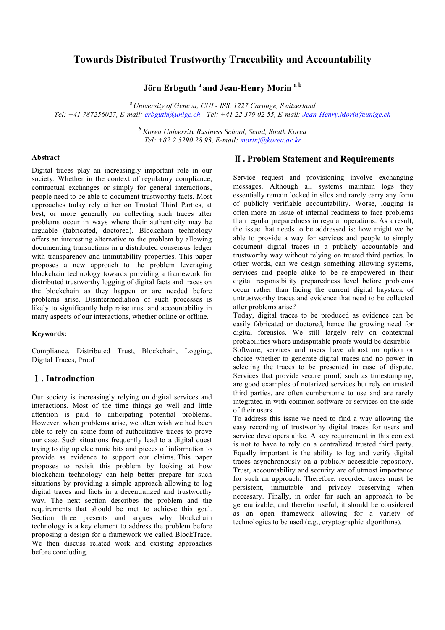# **Towards Distributed Trustworthy Traceability and Accountability**

**Jörn Erbguth <sup>a</sup> and Jean-Henry Morin a b**

*<sup>a</sup> University of Geneva, CUI - ISS, 1227 Carouge, Switzerland Tel: +41 787256027, E-mail: erbguth@unige.ch - Tel: +41 22 379 02 55, E-mail: Jean-Henry.Morin@unige.ch*

> *<sup>b</sup> Korea University Business School, Seoul, South Korea Tel: +82 2 3290 28 93, E-mail: morinj@korea.ac.kr*

#### **Abstract**

Digital traces play an increasingly important role in our society. Whether in the context of regulatory compliance, contractual exchanges or simply for general interactions, people need to be able to document trustworthy facts. Most approaches today rely either on Trusted Third Parties, at best, or more generally on collecting such traces after problems occur in ways where their authenticity may be arguable (fabricated, doctored). Blockchain technology offers an interesting alternative to the problem by allowing documenting transactions in a distributed consensus ledger with transparency and immutability properties. This paper proposes a new approach to the problem leveraging blockchain technology towards providing a framework for distributed trustworthy logging of digital facts and traces on the blockchain as they happen or are needed before problems arise. Disintermediation of such processes is likely to significantly help raise trust and accountability in many aspects of our interactions, whether online or offline.

### **Keywords:**

Compliance, Distributed Trust, Blockchain, Logging, Digital Traces, Proof

## **. Introduction**

Our society is increasingly relying on digital services and interactions. Most of the time things go well and little attention is paid to anticipating potential problems. However, when problems arise, we often wish we had been able to rely on some form of authoritative traces to prove our case. Such situations frequently lead to a digital quest trying to dig up electronic bits and pieces of information to provide as evidence to support our claims. This paper proposes to revisit this problem by looking at how blockchain technology can help better prepare for such situations by providing a simple approach allowing to log digital traces and facts in a decentralized and trustworthy way. The next section describes the problem and the requirements that should be met to achieve this goal. Section three presents and argues why blockchain technology is a key element to address the problem before proposing a design for a framework we called BlockTrace. We then discuss related work and existing approaches before concluding.

## -**. Problem Statement and Requirements**

Service request and provisioning involve exchanging messages. Although all systems maintain logs they essentially remain locked in silos and rarely carry any form of publicly verifiable accountability. Worse, logging is often more an issue of internal readiness to face problems than regular preparedness in regular operations. As a result, the issue that needs to be addressed is: how might we be able to provide a way for services and people to simply document digital traces in a publicly accountable and trustworthy way without relying on trusted third parties. In other words, can we design something allowing systems, services and people alike to be re-empowered in their digital responsibility preparedness level before problems occur rather than facing the current digital haystack of untrustworthy traces and evidence that need to be collected after problems arise?

Today, digital traces to be produced as evidence can be easily fabricated or doctored, hence the growing need for digital forensics. We still largely rely on contextual probabilities where undisputable proofs would be desirable. Software, services and users have almost no option or choice whether to generate digital traces and no power in selecting the traces to be presented in case of dispute. Services that provide secure proof, such as timestamping, are good examples of notarized services but rely on trusted third parties, are often cumbersome to use and are rarely integrated in with common software or services on the side of their users.

To address this issue we need to find a way allowing the easy recording of trustworthy digital traces for users and service developers alike. A key requirement in this context is not to have to rely on a centralized trusted third party. Equally important is the ability to log and verify digital traces asynchronously on a publicly accessible repository. Trust, accountability and security are of utmost importance for such an approach. Therefore, recorded traces must be persistent, immutable and privacy preserving when necessary. Finally, in order for such an approach to be generalizable, and therefor useful, it should be considered as an open framework allowing for a variety of technologies to be used (e.g., cryptographic algorithms).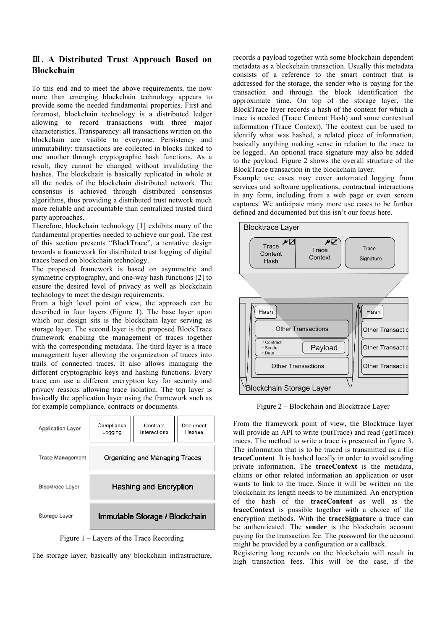## **. A Distributed Trust Approach Based on Blockchain**

To this end and to meet the above requirements, the now more than emerging blockchain technology appears to provide some the needed fundamental properties. First and foremost, blockchain technology is a distributed ledger allowing to record transactions with three major characteristics. Transparency: all transactions written on the blockchain are visible to everyone. Persistency and immutability: transactions are collected in blocks linked to one another through cryptographic hash functions. As a result, they cannot be changed without invalidating the hashes. The blockchain is basically replicated in whole at all the nodes of the blockchain distributed network. The consensus is achieved through distributed consensus algorithms, thus providing a distributed trust network much more reliable and accountable than centralized trusted third party approaches.

Therefore, blockchain technology [1] exhibits many of the fundamental properties needed to achieve our goal. The rest of this section presents "BlockTrace", a tentative design towards a framework for distributed trust logging of digital traces based on blockchain technology.

The proposed framework is based on asymmetric and symmetric cryptography, and one-way hash functions [2] to ensure the desired level of privacy as well as blockchain technology to meet the design requirements.

From a high level point of view, the approach can be described in four layers (Figure 1). The base layer upon which our design sits is the blockchain layer serving as storage layer. The second layer is the proposed BlockTrace framework enabling the management of traces together with the corresponding metadata. The third layer is a trace management layer allowing the organization of traces into trails of connected traces. It also allows managing the different cryptographic keys and hashing functions. Every trace can use a different encryption key for security and privacy reasons allowing trace isolation. The top layer is basically the application layer using the framework such as for example compliance, contracts or documents.

| <b>Application Layer</b> | Compliance<br>Logging          | Contract<br>Interactions | Document<br>Hashes |
|--------------------------|--------------------------------|--------------------------|--------------------|
| <b>Trace Management</b>  | Organizing and Managing Traces |                          |                    |
| <b>Blocktrace Layer</b>  | Hashing and Encryption         |                          |                    |
| Storage Layer            | Immutable Storage / Blockchain |                          |                    |



The storage layer, basically any blockchain infrastructure,

records a payload together with some blockchain dependent metadata as a blockchain transaction. Usually this metadata consists of a reference to the smart contract that is addressed for the storage, the sender who is paying for the transaction and through the block identification the approximate time. On top of the storage layer, the BlockTrace layer records a hash of the content for which a trace is needed (Trace Content Hash) and some contextual information (Trace Context). The context can be used to identify what was hashed, a related piece of information, basically anything making sense in relation to the trace to be logged.. An optional trace signature may also be added to the payload. Figure 2 shows the overall structure of the BlockTrace transaction in the blockchain layer.

Example use cases may cover automated logging from services and software applications, contractual interactions in any form, including from a web page or even screen captures. We anticipate many more use cases to be further defined and documented but this isn't our focus here.



Figure 2 – Blockchain and Blocktrace Layer

From the framework point of view, the Blocktrace layer will provide an API to write (putTrace) and read (getTrace) traces. The method to write a trace is presented in figure 3. The information that is to be traced is transmitted as a file **traceContent**. It is hashed locally in order to avoid sending private information. The **traceContext** is the metadata, claims or other related information an application or user wants to link to the trace. Since it will be written on the blockchain its length needs to be minimized. An encryption of the hash of the **traceContent** as well as the **traceContext** is possible together with a choice of the encryption methods. With the **traceSignature** a trace can be authenticated. The **sender** is the blockchain account paying for the transaction fee. The password for the account might be provided by a configuration or a callback.

Registering long records on the blockchain will result in high transaction fees. This will be the case, if the